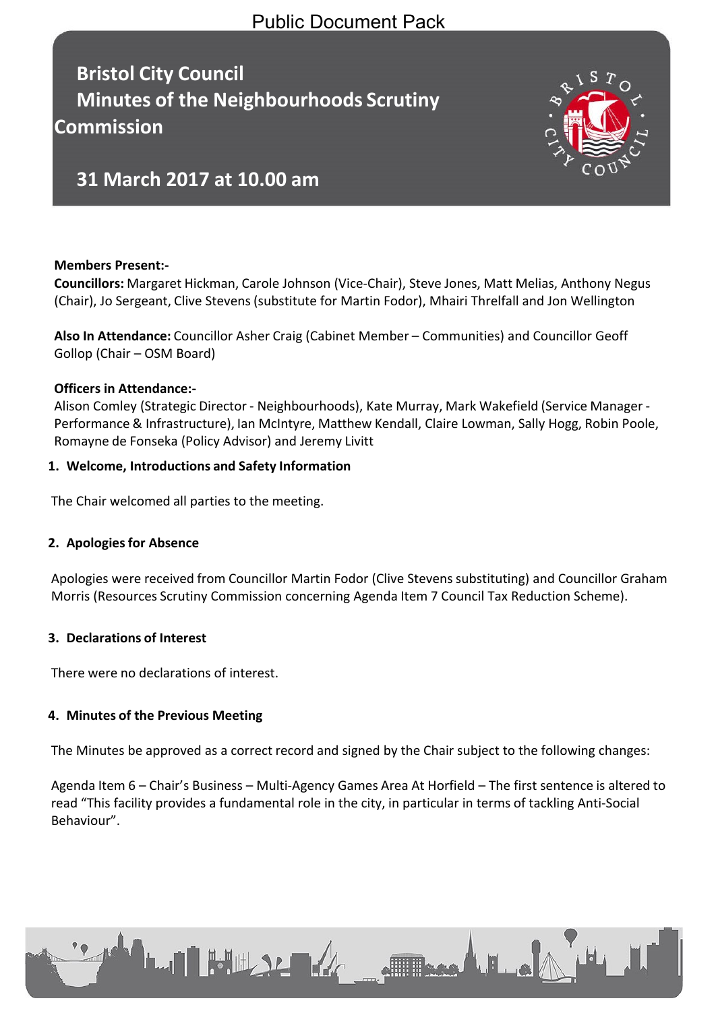## Public Document Pack

**Bristol City Council Minutes of the Neighbourhoods Scrutiny Commission**



# **31 March 2017 at 10.00 am**

## **Members Present:-**

**Councillors:** Margaret Hickman, Carole Johnson (Vice-Chair), Steve Jones, Matt Melias, Anthony Negus (Chair), Jo Sergeant, Clive Stevens (substitute for Martin Fodor), Mhairi Threlfall and Jon Wellington

**Also In Attendance:** Councillor Asher Craig (Cabinet Member – Communities) and Councillor Geoff Gollop (Chair – OSM Board)

#### **Officers in Attendance:-**

Alison Comley (Strategic Director - Neighbourhoods), Kate Murray, Mark Wakefield (Service Manager - Performance & Infrastructure), Ian McIntyre, Matthew Kendall, Claire Lowman, Sally Hogg, Robin Poole, Romayne de Fonseka (Policy Advisor) and Jeremy Livitt

#### **1. Welcome, Introductions and Safety Information**

The Chair welcomed all parties to the meeting.

## **2. Apologiesfor Absence**

Apologies were received from Councillor Martin Fodor (Clive Stevens substituting) and Councillor Graham Morris (Resources Scrutiny Commission concerning Agenda Item 7 Council Tax Reduction Scheme).

## **3. Declarations of Interest**

There were no declarations of interest.

**LAN BULLER ARE** 

## **4. Minutes of the Previous Meeting**

The Minutes be approved as a correct record and signed by the Chair subject to the following changes:

Agenda Item 6 – Chair's Business – Multi-Agency Games Area At Horfield – The first sentence is altered to read "This facility provides a fundamental role in the city, in particular in terms of tackling Anti-Social Behaviour".

**Allisage A. H. La**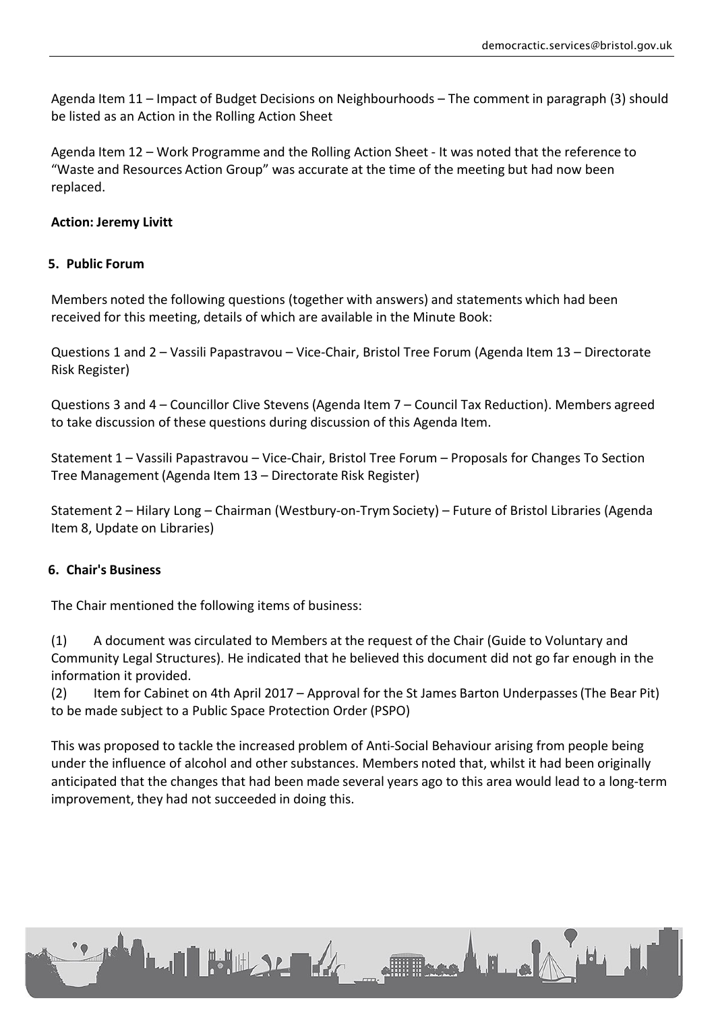Agenda Item 11 – Impact of Budget Decisions on Neighbourhoods – The comment in paragraph (3) should be listed as an Action in the Rolling Action Sheet

Agenda Item 12 – Work Programme and the Rolling Action Sheet - It was noted that the reference to "Waste and Resources Action Group" was accurate at the time of the meeting but had now been replaced.

#### **Action: Jeremy Livitt**

#### **5. Public Forum**

Members noted the following questions (together with answers) and statements which had been received for this meeting, details of which are available in the Minute Book:

Questions 1 and 2 – Vassili Papastravou – Vice-Chair, Bristol Tree Forum (Agenda Item 13 – Directorate Risk Register)

Questions 3 and 4 – Councillor Clive Stevens (Agenda Item 7 – Council Tax Reduction). Members agreed to take discussion of these questions during discussion of this Agenda Item.

Statement 1 – Vassili Papastravou – Vice-Chair, Bristol Tree Forum – Proposals for Changes To Section Tree Management (Agenda Item 13 – Directorate Risk Register)

Statement 2 – Hilary Long – Chairman (Westbury-on-Trym Society) – Future of Bristol Libraries (Agenda Item 8, Update on Libraries)

#### **6. Chair's Business**

The Chair mentioned the following items of business:

**LAN HULLY AND ALL** 

(1) A document was circulated to Members at the request of the Chair (Guide to Voluntary and Community Legal Structures). He indicated that he believed this document did not go far enough in the information it provided.

(2) Item for Cabinet on 4th April 2017 – Approval for the St James Barton Underpasses(The Bear Pit) to be made subject to a Public Space Protection Order (PSPO)

This was proposed to tackle the increased problem of Anti-Social Behaviour arising from people being under the influence of alcohol and other substances. Members noted that, whilst it had been originally anticipated that the changes that had been made several years ago to this area would lead to a long-term improvement, they had not succeeded in doing this.

E Base LE ..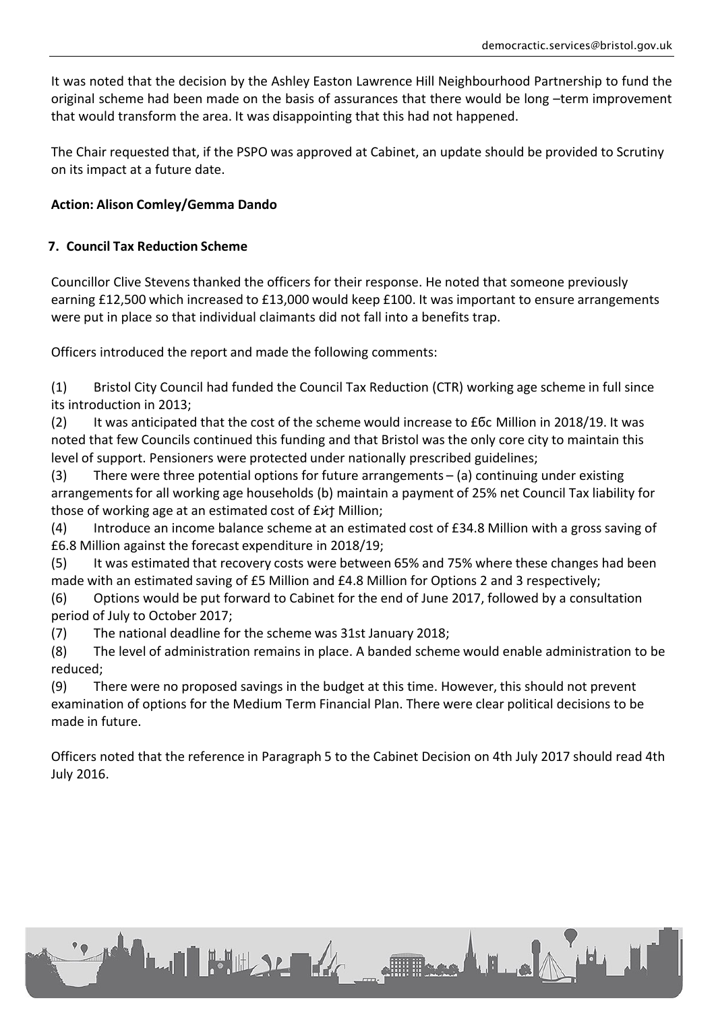It was noted that the decision by the Ashley Easton Lawrence Hill Neighbourhood Partnership to fund the original scheme had been made on the basis of assurances that there would be long –term improvement that would transform the area. It was disappointing that this had not happened.

The Chair requested that, if the PSPO was approved at Cabinet, an update should be provided to Scrutiny on its impact at a future date.

## **Action: Alison Comley/Gemma Dando**

## **7. Council Tax Reduction Scheme**

Councillor Clive Stevens thanked the officers for their response. He noted that someone previously earning £12,500 which increased to £13,000 would keep £100. It was important to ensure arrangements were put in place so that individual claimants did not fall into a benefits trap.

Officers introduced the report and made the following comments:

(1) Bristol City Council had funded the Council Tax Reduction (CTR) working age scheme in full since its introduction in 2013;

(2) It was anticipated that the cost of the scheme would increase to £ϭ͘ϲ Million in 2018/19. It was noted that few Councils continued this funding and that Bristol was the only core city to maintain this level of support. Pensioners were protected under nationally prescribed guidelines;

(3) There were three potential options for future arrangements – (a) continuing under existing arrangements for all working age households (b) maintain a payment of 25% net Council Tax liability for those of working age at an estimated cost of £ $\dot{\varkappa}$ † Million;

(4) Introduce an income balance scheme at an estimated cost of £34.8 Million with a gross saving of £6.8 Million against the forecast expenditure in 2018/19;

(5) It was estimated that recovery costs were between 65% and 75% where these changes had been made with an estimated saving of £5 Million and £4.8 Million for Options 2 and 3 respectively;

(6) Options would be put forward to Cabinet for the end of June 2017, followed by a consultation period of July to October 2017;

(7) The national deadline for the scheme was 31st January 2018;

**LAN HULLER** 

(8) The level of administration remains in place. A banded scheme would enable administration to be reduced;

(9) There were no proposed savings in the budget at this time. However, this should not prevent examination of options for the Medium Term Financial Plan. There were clear political decisions to be made in future.

Officers noted that the reference in Paragraph 5 to the Cabinet Decision on 4th July 2017 should read 4th July 2016.

Flood E.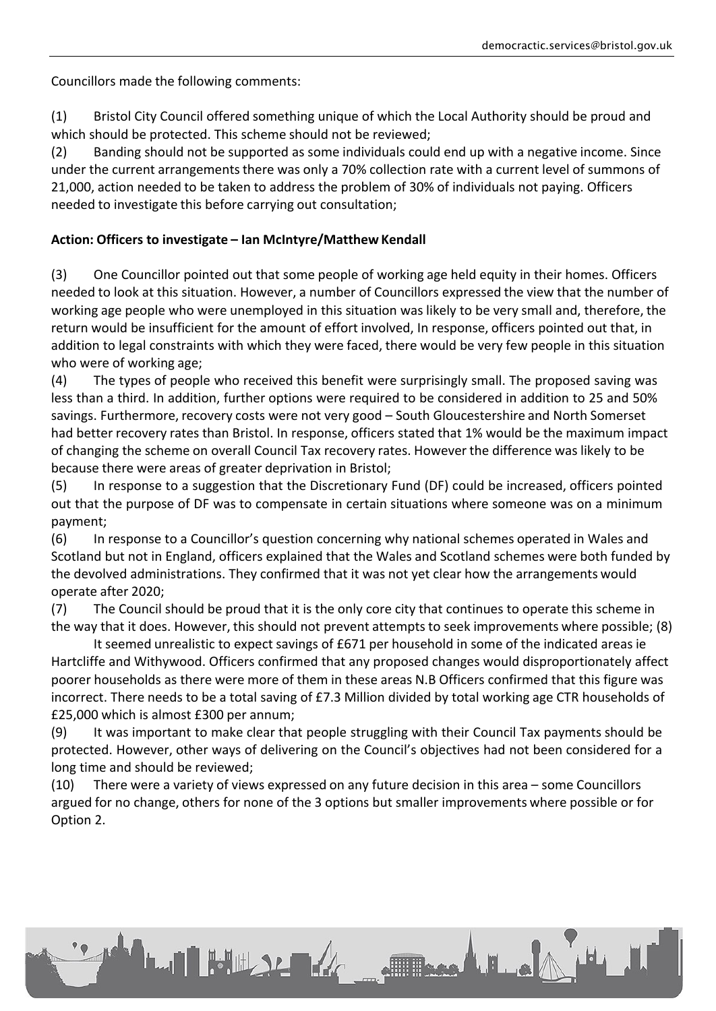Councillors made the following comments:

(1) Bristol City Council offered something unique of which the Local Authority should be proud and which should be protected. This scheme should not be reviewed;

(2) Banding should not be supported as some individuals could end up with a negative income. Since under the current arrangements there was only a 70% collection rate with a current level of summons of 21,000, action needed to be taken to address the problem of 30% of individuals not paying. Officers needed to investigate this before carrying out consultation;

## **Action: Officers to investigate – Ian McIntyre/Matthew Kendall**

(3) One Councillor pointed out that some people of working age held equity in their homes. Officers needed to look at this situation. However, a number of Councillors expressed the view that the number of working age people who were unemployed in this situation was likely to be very small and, therefore, the return would be insufficient for the amount of effort involved, In response, officers pointed out that, in addition to legal constraints with which they were faced, there would be very few people in this situation who were of working age;

(4) The types of people who received this benefit were surprisingly small. The proposed saving was less than a third. In addition, further options were required to be considered in addition to 25 and 50% savings. Furthermore, recovery costs were not very good – South Gloucestershire and North Somerset had better recovery rates than Bristol. In response, officers stated that 1% would be the maximum impact of changing the scheme on overall Council Tax recovery rates. However the difference was likely to be because there were areas of greater deprivation in Bristol;

(5) In response to a suggestion that the Discretionary Fund (DF) could be increased, officers pointed out that the purpose of DF was to compensate in certain situations where someone was on a minimum payment;

(6) In response to a Councillor's question concerning why national schemes operated in Wales and Scotland but not in England, officers explained that the Wales and Scotland schemes were both funded by the devolved administrations. They confirmed that it was not yet clear how the arrangements would operate after 2020;

(7) The Council should be proud that it is the only core city that continues to operate this scheme in the way that it does. However, this should not prevent attemptsto seek improvements where possible; (8)

It seemed unrealistic to expect savings of £671 per household in some of the indicated areas ie Hartcliffe and Withywood. Officers confirmed that any proposed changes would disproportionately affect poorer households as there were more of them in these areas N.B Officers confirmed that this figure was incorrect. There needs to be a total saving of £7.3 Million divided by total working age CTR households of £25,000 which is almost £300 per annum;

(9) It was important to make clear that people struggling with their Council Tax payments should be protected. However, other ways of delivering on the Council's objectives had not been considered for a long time and should be reviewed;

(10) There were a variety of views expressed on any future decision in this area – some Councillors argued for no change, others for none of the 3 options but smaller improvements where possible or for Option 2.

**LAN BULLER AREA** 

Theo LE o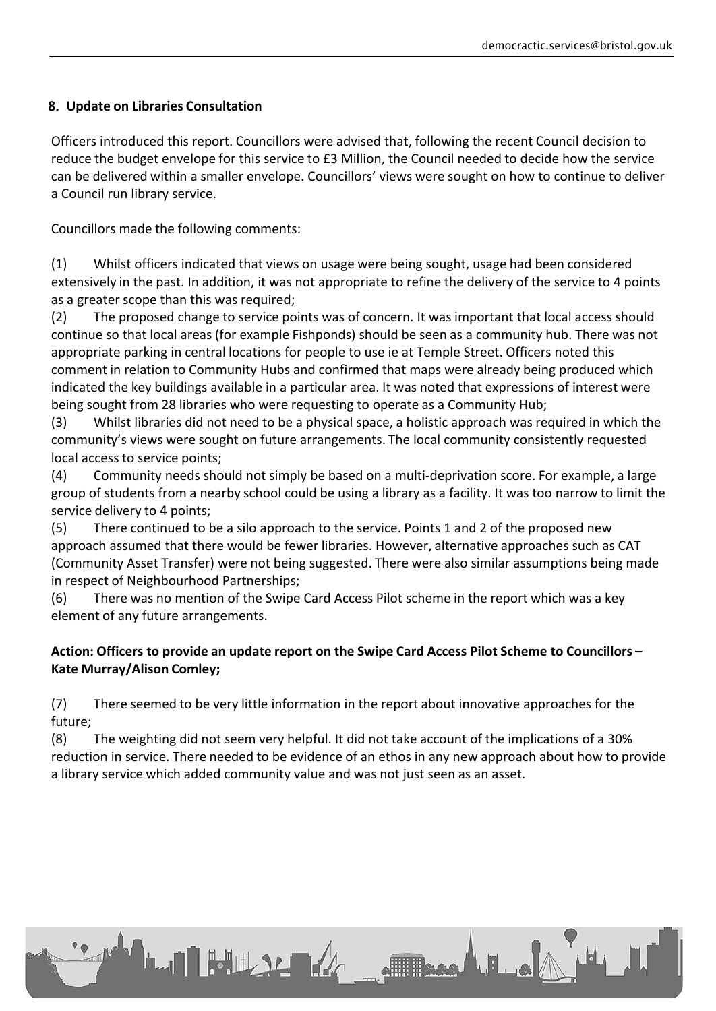## **8. Update on Libraries Consultation**

Officers introduced this report. Councillors were advised that, following the recent Council decision to reduce the budget envelope for this service to £3 Million, the Council needed to decide how the service can be delivered within a smaller envelope. Councillors' views were sought on how to continue to deliver a Council run library service.

Councillors made the following comments:

(1) Whilst officers indicated that views on usage were being sought, usage had been considered extensively in the past. In addition, it was not appropriate to refine the delivery of the service to 4 points as a greater scope than this was required;

(2) The proposed change to service points was of concern. It was important that local access should continue so that local areas (for example Fishponds) should be seen as a community hub. There was not appropriate parking in central locations for people to use ie at Temple Street. Officers noted this comment in relation to Community Hubs and confirmed that maps were already being produced which indicated the key buildings available in a particular area. It was noted that expressions of interest were being sought from 28 libraries who were requesting to operate as a Community Hub;

(3) Whilst libraries did not need to be a physical space, a holistic approach was required in which the community's views were sought on future arrangements. The local community consistently requested local access to service points;

(4) Community needs should not simply be based on a multi-deprivation score. For example, a large group of students from a nearby school could be using a library as a facility. It was too narrow to limit the service delivery to 4 points;

(5) There continued to be a silo approach to the service. Points 1 and 2 of the proposed new approach assumed that there would be fewer libraries. However, alternative approaches such as CAT (Community Asset Transfer) were not being suggested. There were also similar assumptions being made in respect of Neighbourhood Partnerships;

(6) There was no mention of the Swipe Card Access Pilot scheme in the report which was a key element of any future arrangements.

## **Action: Officers to provide an update report on the Swipe Card Access Pilot Scheme to Councillors – Kate Murray/Alison Comley;**

(7) There seemed to be very little information in the report about innovative approaches for the future;

**LAI HULLER** 

(8) The weighting did not seem very helpful. It did not take account of the implications of a 30% reduction in service. There needed to be evidence of an ethos in any new approach about how to provide a library service which added community value and was not just seen as an asset.

Joseph La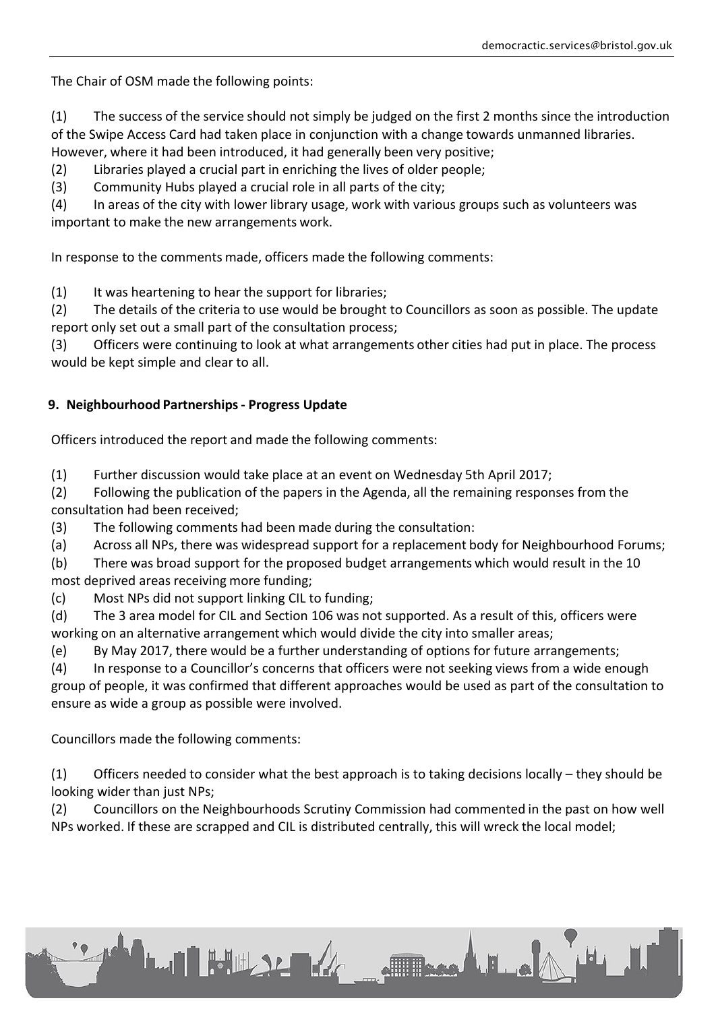The Chair of OSM made the following points:

(1) The success of the service should not simply be judged on the first 2 months since the introduction of the Swipe Access Card had taken place in conjunction with a change towards unmanned libraries. However, where it had been introduced, it had generally been very positive;

(2) Libraries played a crucial part in enriching the lives of older people;

(3) Community Hubs played a crucial role in all parts of the city;

(4) In areas of the city with lower library usage, work with various groups such as volunteers was important to make the new arrangements work.

In response to the comments made, officers made the following comments:

(1) It was heartening to hear the support for libraries;

(2) The details of the criteria to use would be brought to Councillors as soon as possible. The update report only set out a small part of the consultation process;

(3) Officers were continuing to look at what arrangements other cities had put in place. The process would be kept simple and clear to all.

## **9. Neighbourhood Partnerships- Progress Update**

Officers introduced the report and made the following comments:

(1) Further discussion would take place at an event on Wednesday 5th April 2017;

(2) Following the publication of the papers in the Agenda, all the remaining responses from the consultation had been received;

(3) The following comments had been made during the consultation:

**LAN BULLER AREA** 

(a) Across all NPs, there was widespread support for a replacement body for Neighbourhood Forums;

(b) There was broad support for the proposed budget arrangements which would result in the 10 most deprived areas receiving more funding;

(c) Most NPs did not support linking CIL to funding;

(d) The 3 area model for CIL and Section 106 was not supported. As a result of this, officers were working on an alternative arrangement which would divide the city into smaller areas;

(e) By May 2017, there would be a further understanding of options for future arrangements;

(4) In response to a Councillor's concerns that officers were not seeking views from a wide enough group of people, it was confirmed that different approaches would be used as part of the consultation to ensure as wide a group as possible were involved.

Councillors made the following comments:

(1) Officers needed to consider what the best approach is to taking decisions locally – they should be looking wider than just NPs;

(2) Councillors on the Neighbourhoods Scrutiny Commission had commented in the past on how well NPs worked. If these are scrapped and CIL is distributed centrally, this will wreck the local model;

Free LE A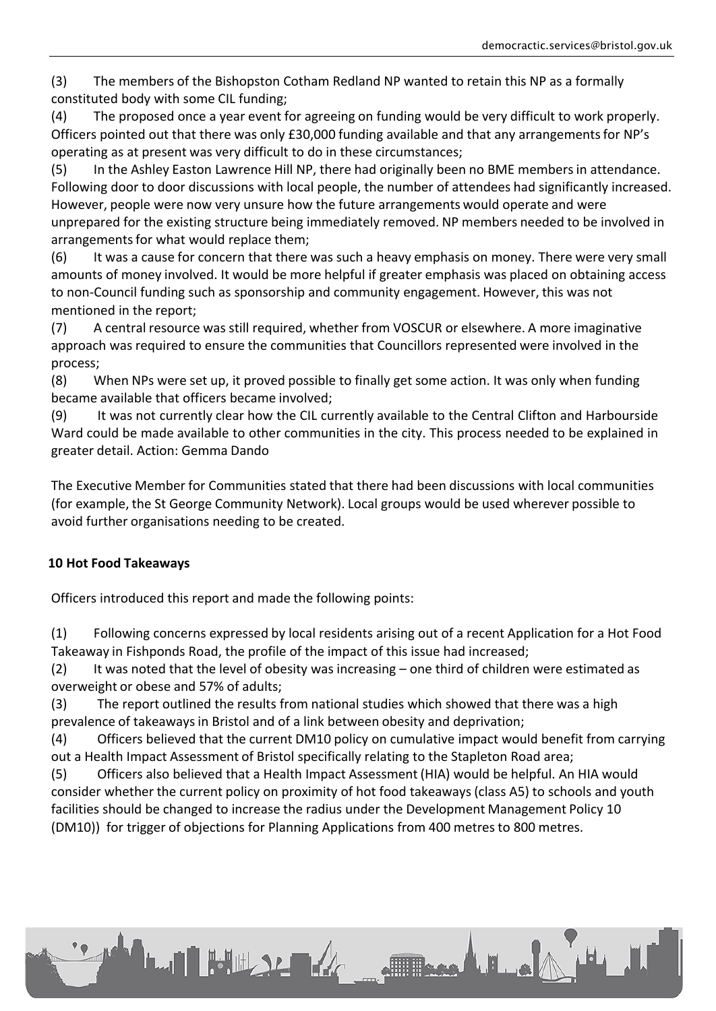(3) The members of the Bishopston Cotham Redland NP wanted to retain this NP as a formally constituted body with some CIL funding;

(4) The proposed once a year event for agreeing on funding would be very difficult to work properly. Officers pointed out that there was only £30,000 funding available and that any arrangements for NP's operating as at present was very difficult to do in these circumstances;

(5) In the Ashley Easton Lawrence Hill NP, there had originally been no BME membersin attendance. Following door to door discussions with local people, the number of attendees had significantly increased. However, people were now very unsure how the future arrangements would operate and were unprepared for the existing structure being immediately removed. NP members needed to be involved in arrangements for what would replace them;

(6) It was a cause for concern that there was such a heavy emphasis on money. There were very small amounts of money involved. It would be more helpful if greater emphasis was placed on obtaining access to non-Council funding such as sponsorship and community engagement. However, this was not mentioned in the report;

(7) A central resource was still required, whether from VOSCUR or elsewhere. A more imaginative approach was required to ensure the communities that Councillors represented were involved in the process;

(8) When NPs were set up, it proved possible to finally get some action. It was only when funding became available that officers became involved;

(9) It was not currently clear how the CIL currently available to the Central Clifton and Harbourside Ward could be made available to other communities in the city. This process needed to be explained in greater detail. Action: Gemma Dando

The Executive Member for Communities stated that there had been discussions with local communities (for example, the St George Community Network). Local groups would be used wherever possible to avoid further organisations needing to be created.

## **10 Hot Food Takeaways**

Officers introduced this report and made the following points:

(1) Following concerns expressed by local residents arising out of a recent Application for a Hot Food Takeaway in Fishponds Road, the profile of the impact of this issue had increased;

(2) It was noted that the level of obesity was increasing – one third of children were estimated as overweight or obese and 57% of adults;

(3) The report outlined the results from national studies which showed that there was a high prevalence of takeawaysin Bristol and of a link between obesity and deprivation;

(4) Officers believed that the current DM10 policy on cumulative impact would benefit from carrying out a Health Impact Assessment of Bristol specifically relating to the Stapleton Road area;

(5) Officers also believed that a Health Impact Assessment (HIA) would be helpful. An HIA would consider whether the current policy on proximity of hot food takeaways(class A5) to schools and youth facilities should be changed to increase the radius under the Development Management Policy 10 (DM10)) for trigger of objections for Planning Applications from 400 metres to 800 metres.

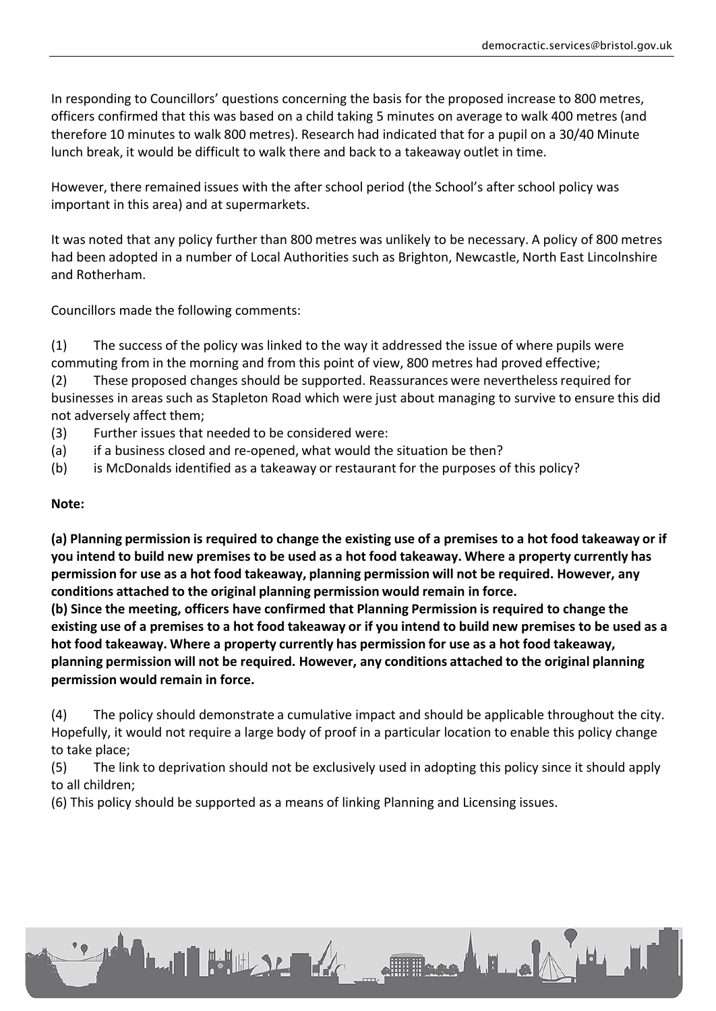In responding to Councillors' questions concerning the basis for the proposed increase to 800 metres, officers confirmed that this was based on a child taking 5 minutes on average to walk 400 metres (and therefore 10 minutes to walk 800 metres). Research had indicated that for a pupil on a 30/40 Minute lunch break, it would be difficult to walk there and back to a takeaway outlet in time.

However, there remained issues with the after school period (the School's after school policy was important in this area) and at supermarkets.

It was noted that any policy further than 800 metres was unlikely to be necessary. A policy of 800 metres had been adopted in a number of Local Authorities such as Brighton, Newcastle, North East Lincolnshire and Rotherham.

Councillors made the following comments:

(1) The success of the policy was linked to the way it addressed the issue of where pupils were commuting from in the morning and from this point of view, 800 metres had proved effective;

(2) These proposed changes should be supported. Reassurances were neverthelessrequired for businesses in areas such as Stapleton Road which were just about managing to survive to ensure this did not adversely affect them;

- (3) Further issues that needed to be considered were:
- (a) if a business closed and re-opened, what would the situation be then?
- (b) is McDonalds identified as a takeaway or restaurant for the purposes of this policy?

## **Note:**

(a) Planning permission is required to change the existing use of a premises to a hot food takeaway or if you intend to build new premises to be used as a hot food takeaway. Where a property currently has **permission for use as a hot food takeaway, planning permission will not be required. However, any conditions attached to the original planning permission would remain in force.**

**(b) Since the meeting, officers have confirmed that Planning Permission is required to change the** existing use of a premises to a hot food takeaway or if you intend to build new premises to be used as a **hot food takeaway. Where a property currently has permission for use as a hot food takeaway, planning permission will not be required. However, any conditions attached to the original planning permission would remain in force.**

(4) The policy should demonstrate a cumulative impact and should be applicable throughout the city. Hopefully, it would not require a large body of proof in a particular location to enable this policy change to take place;

(5) The link to deprivation should not be exclusively used in adopting this policy since it should apply to all children;

(6) This policy should be supported as a means of linking Planning and Licensing issues.

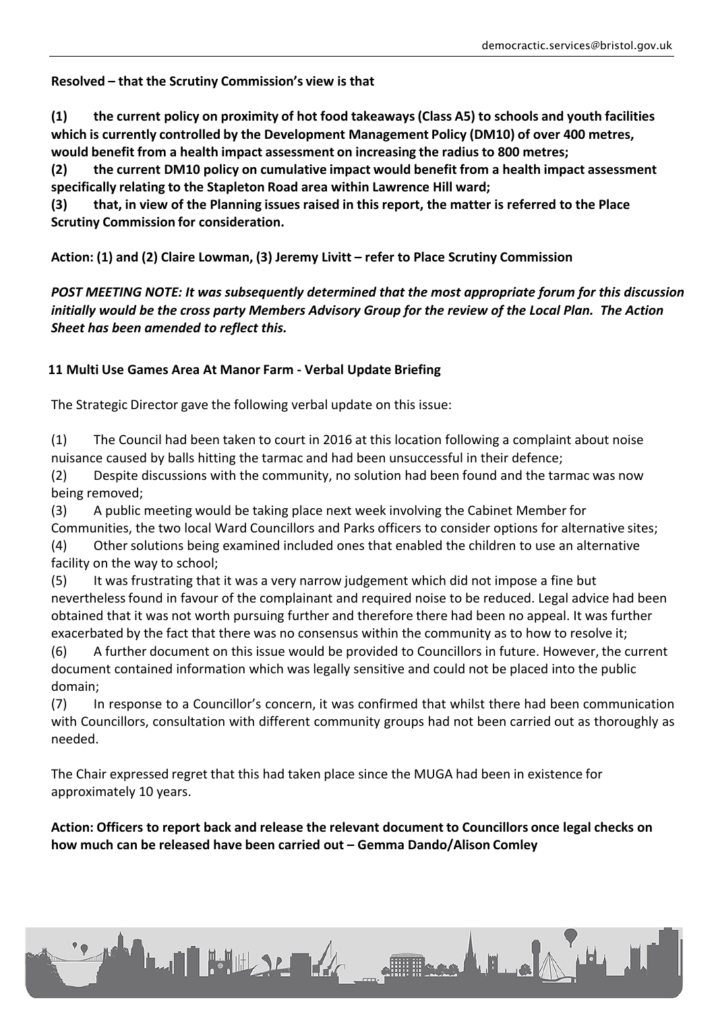**Resolved – that the Scrutiny Commission's view is that**

**(1) the current policy on proximity of hot food takeaways(Class A5) to schools and youth facilities which is currently controlled by the Development Management Policy (DM10) of over 400 metres, would benefit from a health impact assessment on increasing the radius to 800 metres;**

**(2) the current DM10 policy on cumulative impact would benefit from a health impact assessment specifically relating to the Stapleton Road area within Lawrence Hill ward;**

(3) that, in view of the Planning issues raised in this report, the matter is referred to the Place **Scrutiny Commission for consideration.**

**Action: (1) and (2) Claire Lowman, (3) Jeremy Livitt – refer to Place Scrutiny Commission**

*POST MEETING NOTE: It was subsequently determined that the most appropriate forum for this discussion initially would be the cross party Members Advisory Group for the review of the Local Plan. The Action Sheet has been amended to reflect this.*

## **11 Multi Use Games Area At Manor Farm - Verbal Update Briefing**

The Strategic Director gave the following verbal update on this issue:

(1) The Council had been taken to court in 2016 at this location following a complaint about noise nuisance caused by balls hitting the tarmac and had been unsuccessful in their defence;

(2) Despite discussions with the community, no solution had been found and the tarmac was now being removed;

(3) A public meeting would be taking place next week involving the Cabinet Member for Communities, the two local Ward Councillors and Parks officers to consider options for alternative sites;

(4) Other solutions being examined included ones that enabled the children to use an alternative facility on the way to school;

(5) It was frustrating that it was a very narrow judgement which did not impose a fine but neverthelessfound in favour of the complainant and required noise to be reduced. Legal advice had been obtained that it was not worth pursuing further and therefore there had been no appeal. It was further exacerbated by the fact that there was no consensus within the community as to how to resolve it;

(6) A further document on this issue would be provided to Councillors in future. However, the current document contained information which was legally sensitive and could not be placed into the public domain;

(7) In response to a Councillor's concern, it was confirmed that whilst there had been communication with Councillors, consultation with different community groups had not been carried out as thoroughly as needed.

The Chair expressed regret that this had taken place since the MUGA had been in existence for approximately 10 years.

**LAN BULLER AREA** 

**Action: Officers to report back and release the relevant document to Councillors once legal checks on how much can be released have been carried out – Gemma Dando/Alison Comley**

Free LE .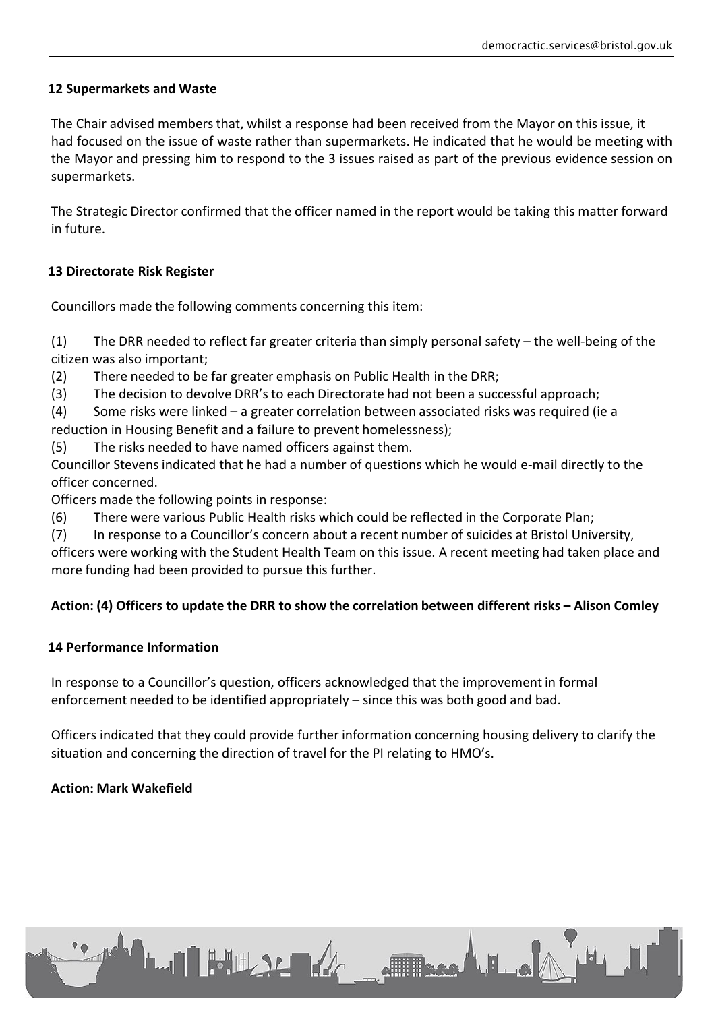## **12 Supermarkets and Waste**

The Chair advised members that, whilst a response had been received from the Mayor on this issue, it had focused on the issue of waste rather than supermarkets. He indicated that he would be meeting with the Mayor and pressing him to respond to the 3 issues raised as part of the previous evidence session on supermarkets.

The Strategic Director confirmed that the officer named in the report would be taking this matter forward in future.

## **13 Directorate Risk Register**

Councillors made the following comments concerning this item:

(1) The DRR needed to reflect far greater criteria than simply personal safety – the well-being of the citizen was also important;

(2) There needed to be far greater emphasis on Public Health in the DRR;

(3) The decision to devolve DRR's to each Directorate had not been a successful approach;

(4) Some risks were linked – a greater correlation between associated risks was required (ie a reduction in Housing Benefit and a failure to prevent homelessness);

(5) The risks needed to have named officers against them.

Councillor Stevens indicated that he had a number of questions which he would e-mail directly to the officer concerned.

Officers made the following points in response:

(6) There were various Public Health risks which could be reflected in the Corporate Plan;

(7) In response to a Councillor's concern about a recent number of suicides at Bristol University,

officers were working with the Student Health Team on this issue. A recent meeting had taken place and more funding had been provided to pursue this further.

## **Action: (4) Officers to update the DRR to show the correlation between different risks – Alison Comley**

## **14 Performance Information**

In response to a Councillor's question, officers acknowledged that the improvement in formal enforcement needed to be identified appropriately – since this was both good and bad.

**LAN HOW ARE ARE** 

Officers indicated that they could provide further information concerning housing delivery to clarify the situation and concerning the direction of travel for the PI relating to HMO's.

 $\blacksquare$ 

## **Action: Mark Wakefield**